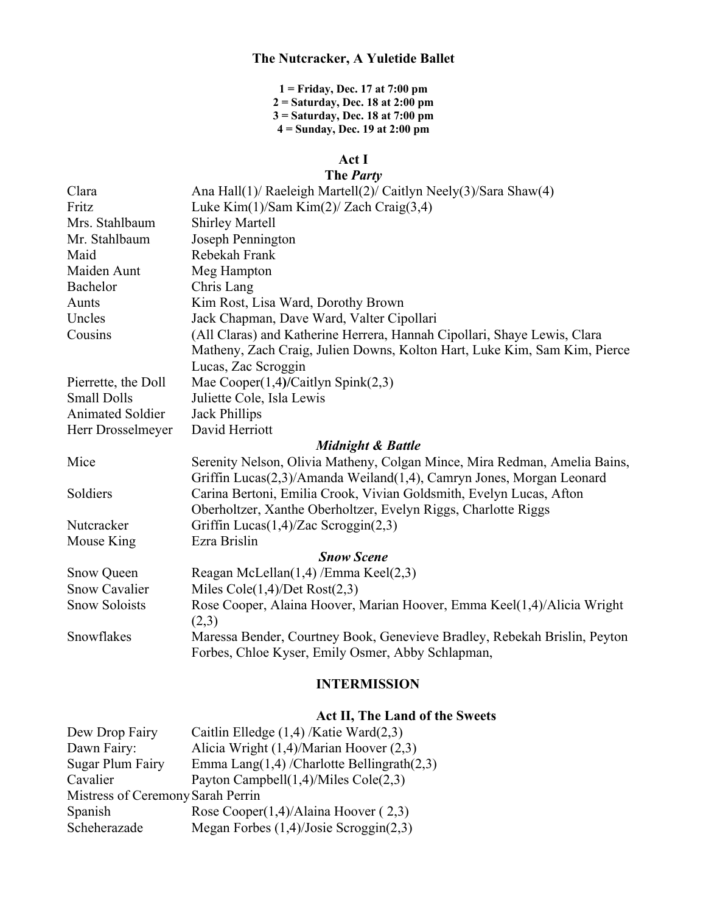#### **The Nutcracker, A Yuletide Ballet**

 **= Friday, Dec. 17 at 7:00 pm = Saturday, Dec. 18 at 2:00 pm 3 = Saturday, Dec. 18 at 7:00 pm = Sunday, Dec. 19 at 2:00 pm**

## **Act I**

# **The** *Party* Clara Ana Hall(1)/ Raeleigh Martell(2)/ Caitlyn Neely(3)/Sara Shaw(4) Fritz Luke Kim(1)/Sam Kim(2)/ Zach Craig(3,4) Mrs. Stahlbaum Shirley Martell Mr. Stahlbaum Joseph Pennington Maid Rebekah Frank Maiden Aunt Meg Hampton Bachelor Chris Lang Aunts Kim Rost, Lisa Ward, Dorothy Brown Uncles Jack Chapman, Dave Ward, Valter Cipollari Cousins (All Claras) and Katherine Herrera, Hannah Cipollari, Shaye Lewis, Clara Matheny, Zach Craig, Julien Downs, Kolton Hart, Luke Kim, Sam Kim, Pierce Lucas, Zac Scroggin Pierrette, the Doll Mae Cooper(1,4)/Caitlyn Spink(2,3) Small Dolls Juliette Cole, Isla Lewis Animated Soldier Jack Phillips Herr Drosselmeyer David Herriott *Midnight & Battle* Mice Serenity Nelson, Olivia Matheny, Colgan Mince, Mira Redman, Amelia Bains, Griffin Lucas(2,3)/Amanda Weiland(1,4), Camryn Jones, Morgan Leonard

Soldiers Carina Bertoni, Emilia Crook, Vivian Goldsmith, Evelyn Lucas, Afton Oberholtzer, Xanthe Oberholtzer, Evelyn Riggs, Charlotte Riggs Nutcracker Griffin Lucas(1,4)/Zac Scroggin(2,3) Mouse King Ezra Brislin *Snow Scene* Snow Queen Reagan McLellan(1,4) /Emma Keel(2,3) Snow Cavalier Miles Cole(1,4)/Det Rost(2,3) Snow Soloists Rose Cooper, Alaina Hoover, Marian Hoover, Emma Keel(1,4)/Alicia Wright  $(2,3)$ Snowflakes Maressa Bender, Courtney Book, Genevieve Bradley, Rebekah Brislin, Peyton

Forbes, Chloe Kyser, Emily Osmer, Abby Schlapman,

## **INTERMISSION**

### **Act II, The Land of the Sweets**

| Dew Drop Fairy                    | Caitlin Elledge $(1,4)$ /Katie Ward $(2,3)$      |
|-----------------------------------|--------------------------------------------------|
| Dawn Fairy:                       | Alicia Wright (1,4)/Marian Hoover (2,3)          |
| Sugar Plum Fairy                  | Emma Lang $(1,4)$ /Charlotte Bellingrath $(2,3)$ |
| Cavalier                          | Payton Campbell $(1,4)$ /Miles Cole $(2,3)$      |
| Mistress of Ceremony Sarah Perrin |                                                  |
| Spanish                           | Rose Cooper $(1,4)$ /Alaina Hoover $(2,3)$       |
| Scheherazade                      | Megan Forbes $(1,4)/$ Josie Scroggin $(2,3)$     |